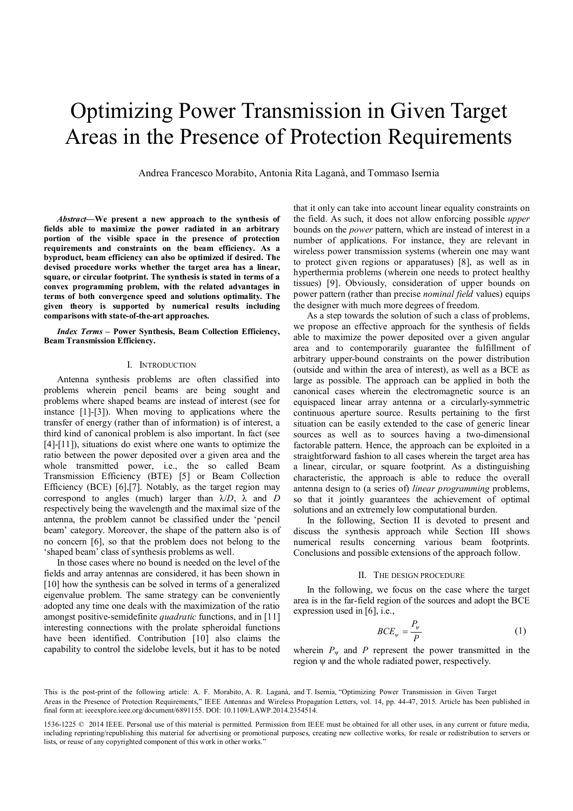# Optimizing Power Transmission in Given Target Areas in the Presence of Protection Requirements

Andrea Francesco Morabito, Antonia Rita Laganà, and Tommaso Isernia<sup>1</sup>

*Abstract***—We present a new approach to the synthesis of fields able to maximize the power radiated in an arbitrary portion of the visible space in the presence of protection requirements and constraints on the beam efficiency. As a byproduct, beam efficiency can also be optimized if desired. The devised procedure works whether the target area has a linear, square, or circular footprint. The synthesis is stated in terms of a convex programming problem, with the related advantages in terms of both convergence speed and solutions optimality. The given theory is supported by numerical results including comparisons with state-of-the-art approaches.**

*Index Terms* **– Power Synthesis, Beam Collection Efficiency, Beam Transmission Efficiency.**

## I. INTRODUCTION

Antenna synthesis problems are often classified into problems wherein pencil beams are being sought and problems where shaped beams are instead of interest (see for instance [1]-[3]). When moving to applications where the transfer of energy (rather than of information) is of interest, a third kind of canonical problem is also important. In fact (see [4]-[11]), situations do exist where one wants to optimize the ratio between the power deposited over a given area and the whole transmitted power, i.e., the so called Beam Transmission Efficiency (BTE) [5] or Beam Collection Efficiency (BCE) [6],[7]. Notably, as the target region may correspond to angles (much) larger than λ/*D*, λ and *D* respectively being the wavelength and the maximal size of the antenna, the problem cannot be classified under the 'pencil beam' category. Moreover, the shape of the pattern also is of no concern [6], so that the problem does not belong to the 'shaped beam' class of synthesis problems as well.

In those cases where no bound is needed on the level of the fields and array antennas are considered, it has been shown in [10] how the synthesis can be solved in terms of a generalized eigenvalue problem. The same strategy can be conveniently adopted any time one deals with the maximization of the ratio amongst positive-semidefinite *quadratic* functions, and in [11] interesting connections with the prolate spheroidal functions have been identified. Contribution [10] also claims the capability to control the sidelobe levels, but it has to be noted

that it only can take into account linear equality constraints on the field. As such, it does not allow enforcing possible *upper* bounds on the *power* pattern, which are instead of interest in a number of applications. For instance, they are relevant in wireless power transmission systems (wherein one may want to protect given regions or apparatuses) [8], as well as in hyperthermia problems (wherein one needs to protect healthy tissues) [9]. Obviously, consideration of upper bounds on power pattern (rather than precise *nominal field* values) equips the designer with much more degrees of freedom.

As a step towards the solution of such a class of problems, we propose an effective approach for the synthesis of fields able to maximize the power deposited over a given angular area and to contemporarily guarantee the fulfillment of arbitrary upper-bound constraints on the power distribution (outside and within the area of interest), as well as a BCE as large as possible. The approach can be applied in both the canonical cases wherein the electromagnetic source is an equispaced linear array antenna or a circularly-symmetric continuous aperture source. Results pertaining to the first situation can be easily extended to the case of generic linear sources as well as to sources having a two-dimensional factorable pattern. Hence, the approach can be exploited in a straightforward fashion to all cases wherein the target area has a linear, circular, or square footprint. As a distinguishing characteristic, the approach is able to reduce the overall antenna design to (a series of) *linear programming* problems, so that it jointly guarantees the achievement of optimal solutions and an extremely low computational burden.

In the following, Section II is devoted to present and discuss the synthesis approach while Section III shows numerical results concerning various beam footprints. Conclusions and possible extensions of the approach follow.

## II. THE DESIGN PROCEDURE

In the following, we focus on the case where the target area is in the far-field region of the sources and adopt the BCE expression used in [6], i.e.,

$$
BCE_{\psi} = \frac{P_{\psi}}{P} \tag{1}
$$

wherein  $P_{\psi}$  and *P* represent the power transmitted in the region ψ and the whole radiated power, respectively.

Areas in the Presence of Protection Requirements," IEEE Antennas and Wireless Propagation Letters, vol. 14, pp. 44-47, 2015. Article has been published in final form at: ieeexplore.ieee.org/document/6891155. DOI: 10.1109/LAWP.2014.2354514. This is the post-print of the following article: A. F. Morabito, A. R. Laganà, and T. Isernia, "Optimizing Power Transmission in Given Target

<sup>1536-1225 © 2014</sup> IEEE. Personal use of this material is permitted. Permission from IEEE must be obtained for all other uses, in any current or future media, including reprinting/republishing this material for advertising or promotional purposes, creating new collective works, for resale or redistribution to servers or lists, or reuse of any copyrighted component of this work in other works."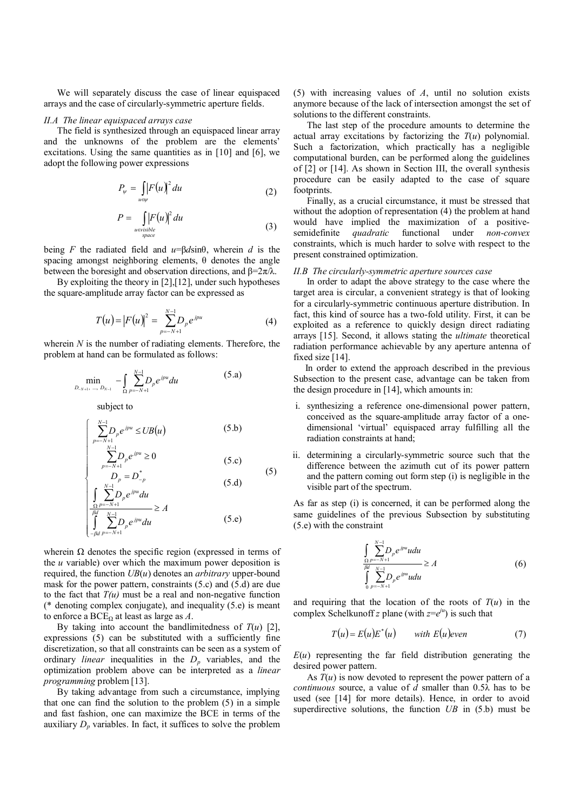We will separately discuss the case of linear equispaced arrays and the case of circularly-symmetric aperture fields.

## *II.A The linear equispaced arrays case*

The field is synthesized through an equispaced linear array and the unknowns of the problem are the elements' excitations. Using the same quantities as in [10] and [6], we adopt the following power expressions

$$
P_{\psi} = \int_{u \in \psi} \left| F(u) \right|^2 du \tag{2}
$$

$$
P = \iint\limits_{\substack{u \in visible \\ space}} |F(u)|^2 du \tag{3}
$$

being *F* the radiated field and *u*=β*d*sinθ, wherein *d* is the spacing amongst neighboring elements, θ denotes the angle between the boresight and observation directions, and  $\beta = 2\pi/\lambda$ .

By exploiting the theory in [2],[12], under such hypotheses the square-amplitude array factor can be expressed as

$$
T(u) = |F(u)|^2 = \sum_{p=-N+1}^{N-1} D_p e^{jpu}
$$
 (4)

wherein  $N$  is the number of radiating elements. Therefore, the problem at hand can be formulated as follows:

$$
\min_{D_{-N+1}, \dots, D_{N-1}} - \int_{\Omega} \sum_{p=-N+1}^{N-1} D_p e^{jpu} du \tag{5.3}
$$

subject to

$$
\begin{cases}\n\sum_{p=-N+1}^{N-1} D_p e^{jpu} \le UB(u) & (5.b) \\
\sum_{p=-N+1}^{N-1} D_p e^{jpu} \ge 0 & (5.c) \\
D_p = D_{-p}^* & (5.d)\n\end{cases}
$$

$$
\int_{-\beta d}^{\frac{\alpha}{\beta}} \sum_{p=-N+1}^{N-1} D_p e^{j p u} du \ge A
$$
 (5.e)

wherein  $\Omega$  denotes the specific region (expressed in terms of the *u* variable) over which the maximum power deposition is required, the function *UB*(*u*) denotes an *arbitrary* upper-bound mask for the power pattern, constraints (5.c) and (5.d) are due to the fact that  $T(u)$  must be a real and non-negative function (\* denoting complex conjugate), and inequality (5.e) is meant to enforce a  $BCE<sub>Ω</sub>$  at least as large as *A*.

By taking into account the bandlimitedness of  $T(u)$  [2], expressions (5) can be substituted with a sufficiently fine discretization, so that all constraints can be seen as a system of ordinary *linear* inequalities in the  $D_p$  variables, and the optimization problem above can be interpreted as a *linear programming* problem [13].

By taking advantage from such a circumstance, implying that one can find the solution to the problem (5) in a simple and fast fashion, one can maximize the BCE in terms of the auxiliary  $D_p$  variables. In fact, it suffices to solve the problem (5) with increasing values of *A*, until no solution exists anymore because of the lack of intersection amongst the set of solutions to the different constraints.

The last step of the procedure amounts to determine the actual array excitations by factorizing the  $T(u)$  polynomial. Such a factorization, which practically has a negligible computational burden, can be performed along the guidelines of [2] or [14]. As shown in Section III, the overall synthesis procedure can be easily adapted to the case of square footprints.

Finally, as a crucial circumstance, it must be stressed that without the adoption of representation (4) the problem at hand would have implied the maximization of a positive-<br>semidefinite *quadratic* functional under *non-convex* semidefinite *quadratic* functional under constraints, which is much harder to solve with respect to the present constrained optimization.

## *II.B The circularly-symmetric aperture sources case*

In order to adapt the above strategy to the case where the target area is circular, a convenient strategy is that of looking for a circularly-symmetric continuous aperture distribution. In fact, this kind of source has a two-fold utility. First, it can be exploited as a reference to quickly design direct radiating arrays [15]. Second, it allows stating the *ultimate* theoretical radiation performance achievable by any aperture antenna of fixed size [14].

In order to extend the approach described in the previous Subsection to the present case, advantage can be taken from the design procedure in [14], which amounts in:

- i. synthesizing a reference one-dimensional power pattern, conceived as the square-amplitude array factor of a onedimensional 'virtual' equispaced array fulfilling all the radiation constraints at hand;
- ii. determining a circularly-symmetric source such that the difference between the azimuth cut of its power pattern and the pattern coming out form step (i) is negligible in the visible part of the spectrum.

As far as step (i) is concerned, it can be performed along the same guidelines of the previous Subsection by substituting (5.e) with the constraint

$$
\frac{\int_{\Omega} \sum_{p=-N+1}^{N-1} D_p e^{jpu} u du}{\int_{\Omega}^{M} \sum_{p=-N+1}^{N-1} D_p e^{jpu} u du} \ge A
$$
\n(6)

and requiring that the location of the roots of  $T(u)$  in the complex Schelkunoff *z* plane (with  $z = e^{iu}$ ) is such that

$$
T(u) = E(u)E^*(u) \qquad \text{with } E(u)\text{even} \tag{7}
$$

 $E(u)$  representing the far field distribution generating the desired power pattern.

As  $T(u)$  is now devoted to represent the power pattern of a *continuous* source, a value of *d* smaller than 0.5λ has to be used (see [14] for more details). Hence, in order to avoid superdirective solutions, the function *UB* in (5.b) must be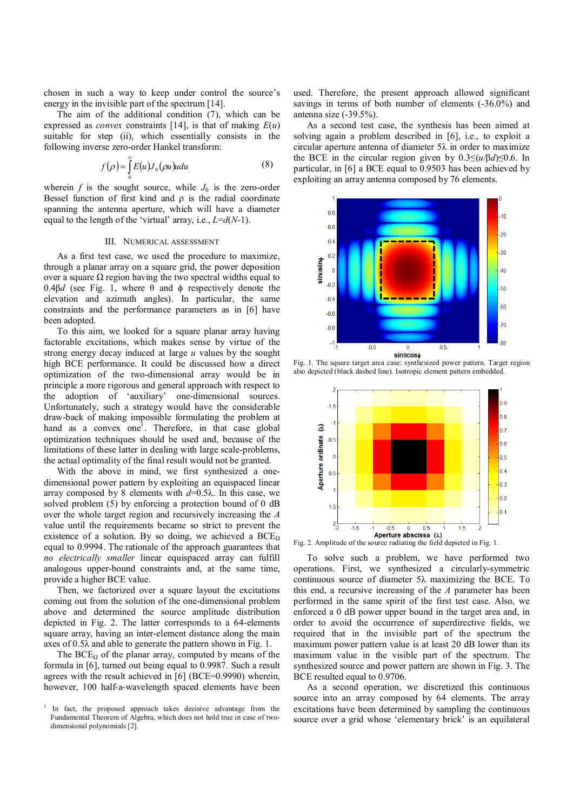chosen in such a way to keep under control the source's energy in the invisible part of the spectrum [14].

The aim of the additional condition (7), which can be expressed as *convex* constraints [14], is that of making  $E(u)$ suitable for step (ii), which essentially consists in the following inverse zero-order Hankel transform:

$$
f(\rho) = \int_{0}^{\infty} E(u)J_0(\rho u)u du
$$
 (8)

wherein  $f$  is the sought source, while  $J_0$  is the zero-order Bessel function of first kind and  $\rho$  is the radial coordinate spanning the antenna aperture, which will have a diameter equal to the length of the 'virtual' array, i.e., *L*=*d*(*N*-1).

#### III. NUMERICAL ASSESSMENT

As a first test case, we used the procedure to maximize, through a planar array on a square grid, the power deposition over a square  $\Omega$  region having the two spectral widths equal to 0.4β*d* (see Fig. 1, where θ and ϕ respectively denote the elevation and azimuth angles). In particular, the same constraints and the performance parameters as in [6] have been adopted.

To this aim, we looked for a square planar array having factorable excitations, which makes sense by virtue of the strong energy decay induced at large *u* values by the sought high BCE performance. It could be discussed how a direct optimization of the two-dimensional array would be in principle a more rigorous and general approach with respect to the adoption of 'auxiliary' one-dimensional sources. Unfortunately, such a strategy would have the considerable draw-back of making impossible formulating the problem at hand as a convex one<sup>1</sup>. Therefore, in that case global optimization techniques should be used and, because of the limitations of these latter in dealing with large scale-problems, the actual optimality of the final result would not be granted.

With the above in mind, we first synthesized a onedimensional power pattern by exploiting an equispaced linear array composed by 8 elements with *d*=0.5λ. In this case, we solved problem (5) by enforcing a protection bound of 0 dB over the whole target region and recursively increasing the *A* value until the requirements became so strict to prevent the existence of a solution. By so doing, we achieved a  $BCE<sub>Ω</sub>$ equal to 0.9994. The rationale of the approach guarantees that *no electrically smaller* linear equispaced array can fulfill analogous upper-bound constraints and, at the same time, provide a higher BCE value.

Then, we factorized over a square layout the excitations coming out from the solution of the one-dimensional problem above and determined the source amplitude distribution depicted in Fig. 2. The latter corresponds to a 64-elements square array, having an inter-element distance along the main axes of 0.5λ and able to generate the pattern shown in Fig. 1.

The  $BCE_{\Omega}$  of the planar array, computed by means of the formula in [6], turned out being equal to 0.9987. Such a result agrees with the result achieved in [6] (BCE=0.9990) wherein, however, 100 half-a-wavelength spaced elements have been used. Therefore, the present approach allowed significant savings in terms of both number of elements (-36.0%) and antenna size (-39.5%).

As a second test case, the synthesis has been aimed at solving again a problem described in [6], i.e., to exploit a circular aperture antenna of diameter  $5\lambda$  in order to maximize the BCE in the circular region given by  $0.3 \leq (u/\beta d) \leq 0.6$ . In particular, in [6] a BCE equal to 0.9503 has been achieved by exploiting an array antenna composed by 76 elements.



Fig. 1. The square target area case: synthesized power pattern. Target region also depicted (black dashed line). Isotropic element pattern embedded.



Fig. 2. Amplitude of the source radiating the field depicted in Fig. 1.

To solve such a problem, we have performed two operations. First, we synthesized a circularly-symmetric continuous source of diameter 5λ maximizing the BCE. To this end, a recursive increasing of the *A* parameter has been performed in the same spirit of the first test case. Also, we enforced a 0 dB power upper bound in the target area and, in order to avoid the occurrence of superdirective fields, we required that in the invisible part of the spectrum the maximum power pattern value is at least 20 dB lower than its maximum value in the visible part of the spectrum. The synthesized source and power pattern are shown in Fig. 3. The BCE resulted equal to 0.9706.

As a second operation, we discretized this continuous source into an array composed by 64 elements. The array excitations have been determined by sampling the continuous source over a grid whose 'elementary brick' is an equilateral

<sup>1</sup> In fact, the proposed approach takes decisive advantage from the Fundamental Theorem of Algebra, which does not hold true in case of twodimensional polynomials [2].